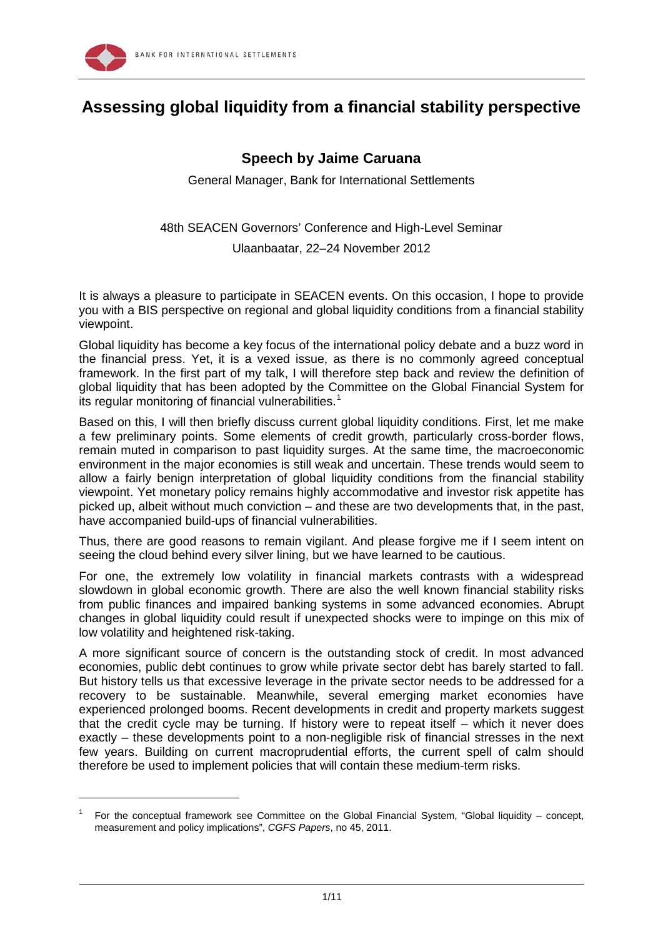

-

# **Assessing global liquidity from a financial stability perspective**

## **Speech by Jaime Caruana**

General Manager, Bank for International Settlements

48th SEACEN Governors' Conference and High-Level Seminar

#### Ulaanbaatar, 22–24 November 2012

It is always a pleasure to participate in SEACEN events. On this occasion, I hope to provide you with a BIS perspective on regional and global liquidity conditions from a financial stability viewpoint.

Global liquidity has become a key focus of the international policy debate and a buzz word in the financial press. Yet, it is a vexed issue, as there is no commonly agreed conceptual framework. In the first part of my talk, I will therefore step back and review the definition of global liquidity that has been adopted by the Committee on the Global Financial System for its regular monitoring of financial vulnerabilities.<sup>[1](#page-0-0)</sup>

Based on this, I will then briefly discuss current global liquidity conditions. First, let me make a few preliminary points. Some elements of credit growth, particularly cross-border flows, remain muted in comparison to past liquidity surges. At the same time, the macroeconomic environment in the major economies is still weak and uncertain. These trends would seem to allow a fairly benign interpretation of global liquidity conditions from the financial stability viewpoint. Yet monetary policy remains highly accommodative and investor risk appetite has picked up, albeit without much conviction – and these are two developments that, in the past, have accompanied build-ups of financial vulnerabilities.

Thus, there are good reasons to remain vigilant. And please forgive me if I seem intent on seeing the cloud behind every silver lining, but we have learned to be cautious.

For one, the extremely low volatility in financial markets contrasts with a widespread slowdown in global economic growth. There are also the well known financial stability risks from public finances and impaired banking systems in some advanced economies. Abrupt changes in global liquidity could result if unexpected shocks were to impinge on this mix of low volatility and heightened risk-taking.

A more significant source of concern is the outstanding stock of credit. In most advanced economies, public debt continues to grow while private sector debt has barely started to fall. But history tells us that excessive leverage in the private sector needs to be addressed for a recovery to be sustainable. Meanwhile, several emerging market economies have experienced prolonged booms. Recent developments in credit and property markets suggest that the credit cycle may be turning. If history were to repeat itself – which it never does exactly – these developments point to a non-negligible risk of financial stresses in the next few years. Building on current macroprudential efforts, the current spell of calm should therefore be used to implement policies that will contain these medium-term risks.

<span id="page-0-0"></span><sup>1</sup> For the conceptual framework see Committee on the Global Financial System, "Global liquidity – concept, measurement and policy implications", *CGFS Papers*, no 45, 2011.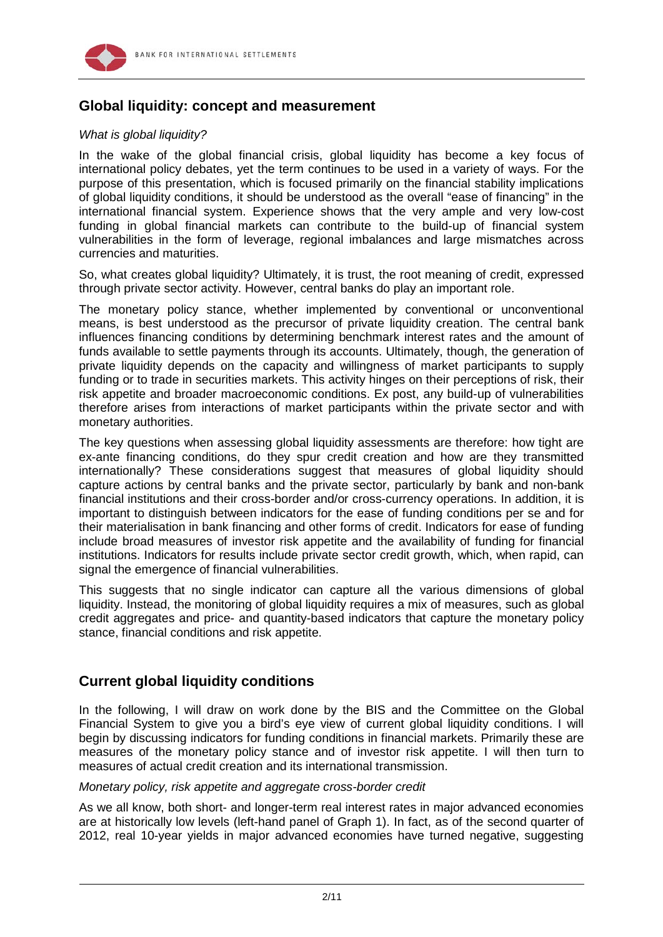

## **Global liquidity: concept and measurement**

#### *What is global liquidity?*

In the wake of the global financial crisis, global liquidity has become a key focus of international policy debates, yet the term continues to be used in a variety of ways. For the purpose of this presentation, which is focused primarily on the financial stability implications of global liquidity conditions, it should be understood as the overall "ease of financing" in the international financial system. Experience shows that the very ample and very low-cost funding in global financial markets can contribute to the build-up of financial system vulnerabilities in the form of leverage, regional imbalances and large mismatches across currencies and maturities.

So, what creates global liquidity? Ultimately, it is trust, the root meaning of credit, expressed through private sector activity. However, central banks do play an important role.

The monetary policy stance, whether implemented by conventional or unconventional means, is best understood as the precursor of private liquidity creation. The central bank influences financing conditions by determining benchmark interest rates and the amount of funds available to settle payments through its accounts. Ultimately, though, the generation of private liquidity depends on the capacity and willingness of market participants to supply funding or to trade in securities markets. This activity hinges on their perceptions of risk, their risk appetite and broader macroeconomic conditions. Ex post, any build-up of vulnerabilities therefore arises from interactions of market participants within the private sector and with monetary authorities.

The key questions when assessing global liquidity assessments are therefore: how tight are ex-ante financing conditions, do they spur credit creation and how are they transmitted internationally? These considerations suggest that measures of global liquidity should capture actions by central banks and the private sector, particularly by bank and non-bank financial institutions and their cross-border and/or cross-currency operations. In addition, it is important to distinguish between indicators for the ease of funding conditions per se and for their materialisation in bank financing and other forms of credit. Indicators for ease of funding include broad measures of investor risk appetite and the availability of funding for financial institutions. Indicators for results include private sector credit growth, which, when rapid, can signal the emergence of financial vulnerabilities.

This suggests that no single indicator can capture all the various dimensions of global liquidity. Instead, the monitoring of global liquidity requires a mix of measures, such as global credit aggregates and price- and quantity-based indicators that capture the monetary policy stance, financial conditions and risk appetite.

## **Current global liquidity conditions**

In the following, I will draw on work done by the BIS and the Committee on the Global Financial System to give you a bird's eye view of current global liquidity conditions. I will begin by discussing indicators for funding conditions in financial markets. Primarily these are measures of the monetary policy stance and of investor risk appetite. I will then turn to measures of actual credit creation and its international transmission.

#### *Monetary policy, risk appetite and aggregate cross-border credit*

As we all know, both short- and longer-term real interest rates in major advanced economies are at historically low levels (left-hand panel of Graph 1). In fact, as of the second quarter of 2012, real 10-year yields in major advanced economies have turned negative, suggesting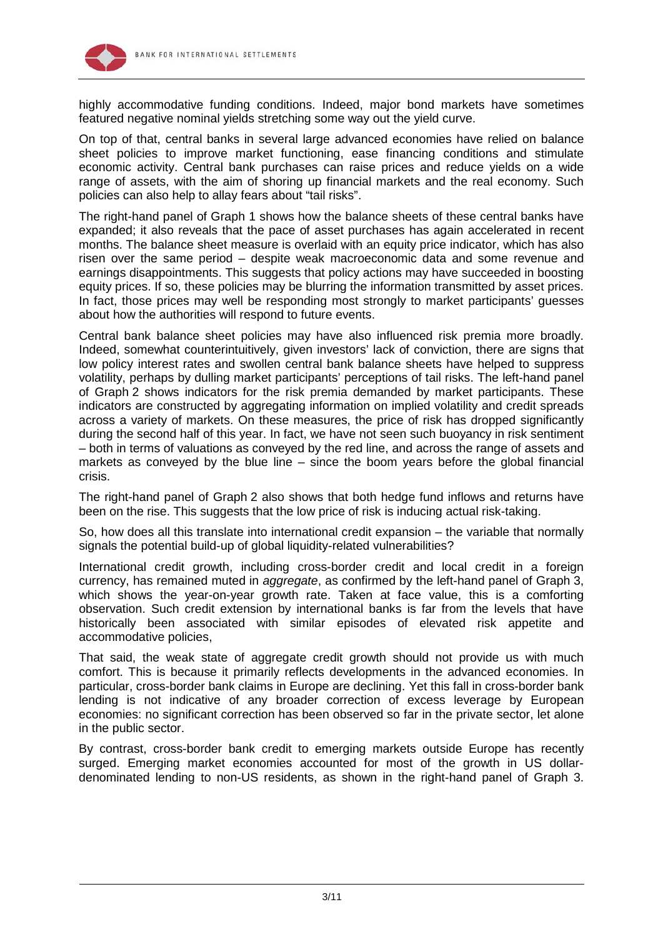



highly accommodative funding conditions. Indeed, major bond markets have sometimes featured negative nominal yields stretching some way out the yield curve.

On top of that, central banks in several large advanced economies have relied on balance sheet policies to improve market functioning, ease financing conditions and stimulate economic activity. Central bank purchases can raise prices and reduce yields on a wide range of assets, with the aim of shoring up financial markets and the real economy. Such policies can also help to allay fears about "tail risks".

The right-hand panel of Graph 1 shows how the balance sheets of these central banks have expanded; it also reveals that the pace of asset purchases has again accelerated in recent months. The balance sheet measure is overlaid with an equity price indicator, which has also risen over the same period – despite weak macroeconomic data and some revenue and earnings disappointments. This suggests that policy actions may have succeeded in boosting equity prices. If so, these policies may be blurring the information transmitted by asset prices. In fact, those prices may well be responding most strongly to market participants' guesses about how the authorities will respond to future events.

Central bank balance sheet policies may have also influenced risk premia more broadly. Indeed, somewhat counterintuitively, given investors' lack of conviction, there are signs that low policy interest rates and swollen central bank balance sheets have helped to suppress volatility, perhaps by dulling market participants' perceptions of tail risks. The left-hand panel of Graph 2 shows indicators for the risk premia demanded by market participants. These indicators are constructed by aggregating information on implied volatility and credit spreads across a variety of markets. On these measures, the price of risk has dropped significantly during the second half of this year. In fact, we have not seen such buoyancy in risk sentiment – both in terms of valuations as conveyed by the red line, and across the range of assets and markets as conveyed by the blue line – since the boom years before the global financial crisis.

The right-hand panel of Graph 2 also shows that both hedge fund inflows and returns have been on the rise. This suggests that the low price of risk is inducing actual risk-taking.

So, how does all this translate into international credit expansion – the variable that normally signals the potential build-up of global liquidity-related vulnerabilities?

International credit growth, including cross-border credit and local credit in a foreign currency, has remained muted in *aggregate*, as confirmed by the left-hand panel of Graph 3, which shows the year-on-year growth rate. Taken at face value, this is a comforting observation. Such credit extension by international banks is far from the levels that have historically been associated with similar episodes of elevated risk appetite and accommodative policies,

That said, the weak state of aggregate credit growth should not provide us with much comfort. This is because it primarily reflects developments in the advanced economies. In particular, cross-border bank claims in Europe are declining. Yet this fall in cross-border bank lending is not indicative of any broader correction of excess leverage by European economies: no significant correction has been observed so far in the private sector, let alone in the public sector.

By contrast, cross-border bank credit to emerging markets outside Europe has recently surged. Emerging market economies accounted for most of the growth in US dollardenominated lending to non-US residents, as shown in the right-hand panel of Graph 3.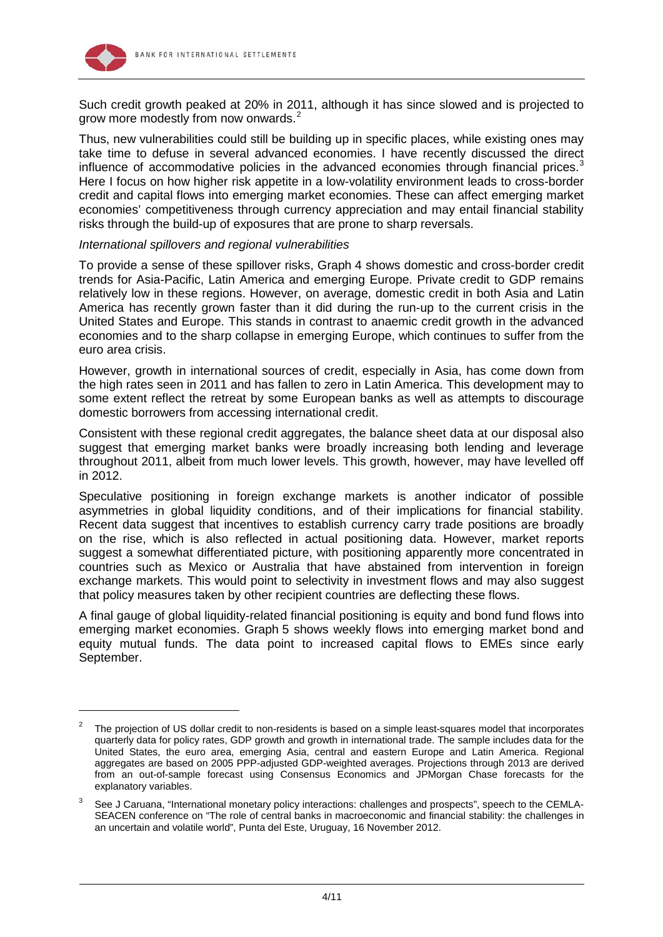

-

Such credit growth peaked at 20% in 2011, although it has since slowed and is projected to grow more modestly from now onwards. [2](#page-3-0)

Thus, new vulnerabilities could still be building up in specific places, while existing ones may take time to defuse in several advanced economies. I have recently discussed the direct influence of accommodative policies in the advanced economies through financial prices.<sup>[3](#page-3-1)</sup> Here I focus on how higher risk appetite in a low-volatility environment leads to cross-border credit and capital flows into emerging market economies. These can affect emerging market economies' competitiveness through currency appreciation and may entail financial stability risks through the build-up of exposures that are prone to sharp reversals.

#### *International spillovers and regional vulnerabilities*

To provide a sense of these spillover risks, Graph 4 shows domestic and cross-border credit trends for Asia-Pacific, Latin America and emerging Europe. Private credit to GDP remains relatively low in these regions. However, on average, domestic credit in both Asia and Latin America has recently grown faster than it did during the run-up to the current crisis in the United States and Europe. This stands in contrast to anaemic credit growth in the advanced economies and to the sharp collapse in emerging Europe, which continues to suffer from the euro area crisis.

However, growth in international sources of credit, especially in Asia, has come down from the high rates seen in 2011 and has fallen to zero in Latin America. This development may to some extent reflect the retreat by some European banks as well as attempts to discourage domestic borrowers from accessing international credit.

Consistent with these regional credit aggregates, the balance sheet data at our disposal also suggest that emerging market banks were broadly increasing both lending and leverage throughout 2011, albeit from much lower levels. This growth, however, may have levelled off in 2012.

Speculative positioning in foreign exchange markets is another indicator of possible asymmetries in global liquidity conditions, and of their implications for financial stability. Recent data suggest that incentives to establish currency carry trade positions are broadly on the rise, which is also reflected in actual positioning data. However, market reports suggest a somewhat differentiated picture, with positioning apparently more concentrated in countries such as Mexico or Australia that have abstained from intervention in foreign exchange markets. This would point to selectivity in investment flows and may also suggest that policy measures taken by other recipient countries are deflecting these flows.

A final gauge of global liquidity-related financial positioning is equity and bond fund flows into emerging market economies. Graph 5 shows weekly flows into emerging market bond and equity mutual funds. The data point to increased capital flows to EMEs since early September.

<span id="page-3-0"></span><sup>2</sup> The projection of US dollar credit to non-residents is based on a simple least-squares model that incorporates quarterly data for policy rates, GDP growth and growth in international trade. The sample includes data for the United States, the euro area, emerging Asia, central and eastern Europe and Latin America. Regional aggregates are based on 2005 PPP-adjusted GDP-weighted averages. Projections through 2013 are derived from an out-of-sample forecast using Consensus Economics and JPMorgan Chase forecasts for the explanatory variables.

<span id="page-3-1"></span><sup>3</sup> See J Caruana, "International monetary policy interactions: challenges and prospects", speech to the CEMLA-SEACEN conference on "The role of central banks in macroeconomic and financial stability: the challenges in an uncertain and volatile world", Punta del Este, Uruguay, 16 November 2012.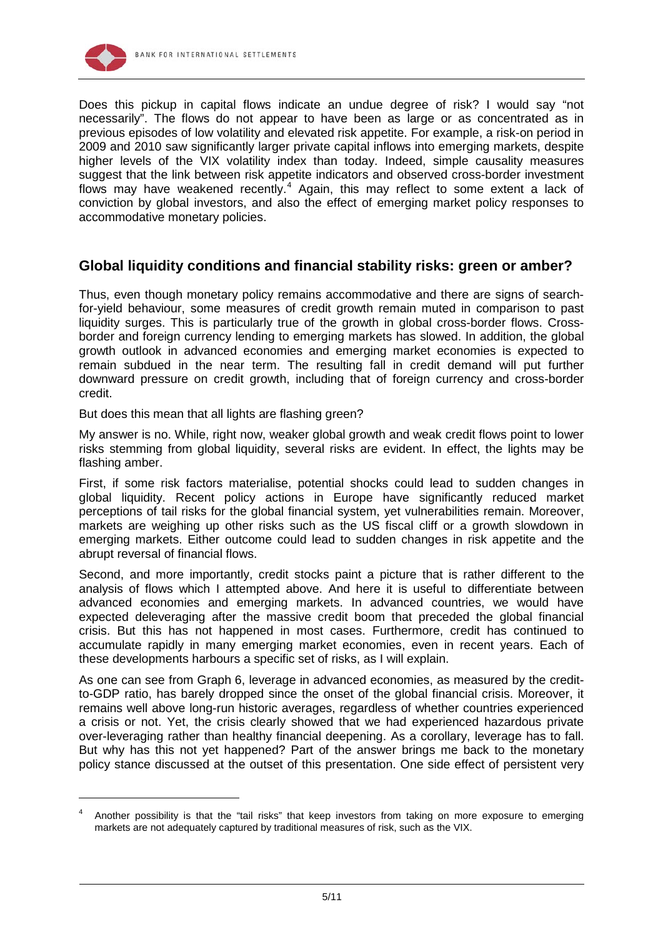

-

Does this pickup in capital flows indicate an undue degree of risk? I would say "not necessarily". The flows do not appear to have been as large or as concentrated as in previous episodes of low volatility and elevated risk appetite. For example, a risk-on period in 2009 and 2010 saw significantly larger private capital inflows into emerging markets, despite higher levels of the VIX volatility index than today. Indeed, simple causality measures suggest that the link between risk appetite indicators and observed cross-border investment flows may have weakened recently.<sup>[4](#page-4-0)</sup> Again, this may reflect to some extent a lack of conviction by global investors, and also the effect of emerging market policy responses to accommodative monetary policies.

## **Global liquidity conditions and financial stability risks: green or amber?**

Thus, even though monetary policy remains accommodative and there are signs of searchfor-yield behaviour, some measures of credit growth remain muted in comparison to past liquidity surges. This is particularly true of the growth in global cross-border flows. Crossborder and foreign currency lending to emerging markets has slowed. In addition, the global growth outlook in advanced economies and emerging market economies is expected to remain subdued in the near term. The resulting fall in credit demand will put further downward pressure on credit growth, including that of foreign currency and cross-border credit.

But does this mean that all lights are flashing green?

My answer is no. While, right now, weaker global growth and weak credit flows point to lower risks stemming from global liquidity, several risks are evident. In effect, the lights may be flashing amber.

First, if some risk factors materialise, potential shocks could lead to sudden changes in global liquidity. Recent policy actions in Europe have significantly reduced market perceptions of tail risks for the global financial system, yet vulnerabilities remain. Moreover, markets are weighing up other risks such as the US fiscal cliff or a growth slowdown in emerging markets. Either outcome could lead to sudden changes in risk appetite and the abrupt reversal of financial flows.

Second, and more importantly, credit stocks paint a picture that is rather different to the analysis of flows which I attempted above. And here it is useful to differentiate between advanced economies and emerging markets. In advanced countries, we would have expected deleveraging after the massive credit boom that preceded the global financial crisis. But this has not happened in most cases. Furthermore, credit has continued to accumulate rapidly in many emerging market economies, even in recent years. Each of these developments harbours a specific set of risks, as I will explain.

As one can see from Graph 6, leverage in advanced economies, as measured by the creditto-GDP ratio, has barely dropped since the onset of the global financial crisis. Moreover, it remains well above long-run historic averages, regardless of whether countries experienced a crisis or not. Yet, the crisis clearly showed that we had experienced hazardous private over-leveraging rather than healthy financial deepening. As a corollary, leverage has to fall. But why has this not yet happened? Part of the answer brings me back to the monetary policy stance discussed at the outset of this presentation. One side effect of persistent very

<span id="page-4-0"></span><sup>4</sup> Another possibility is that the "tail risks" that keep investors from taking on more exposure to emerging markets are not adequately captured by traditional measures of risk, such as the VIX.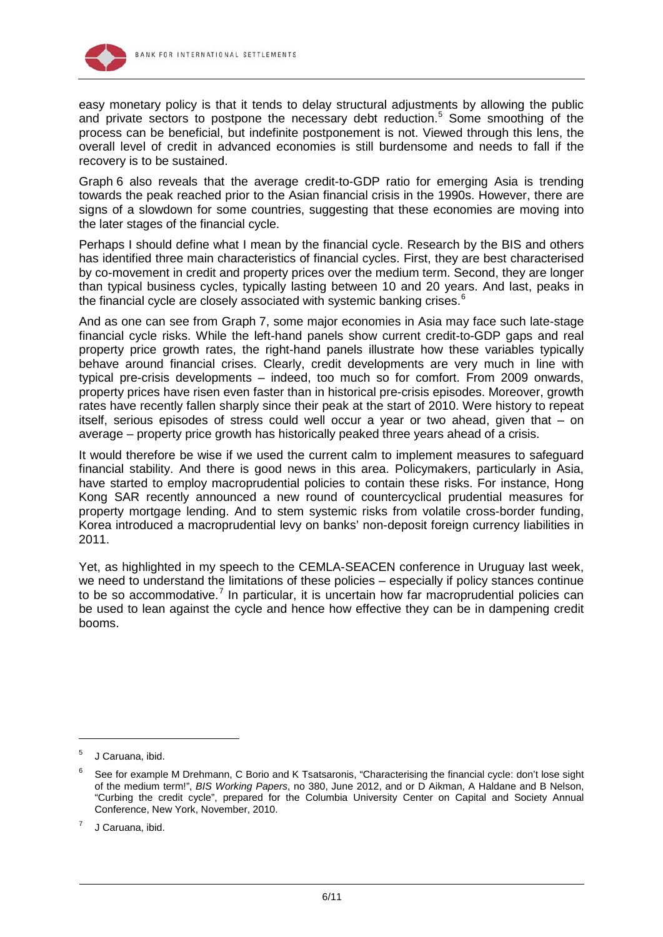

easy monetary policy is that it tends to delay structural adjustments by allowing the public and private sectors to postpone the necessary debt reduction. [5](#page-5-0) Some smoothing of the process can be beneficial, but indefinite postponement is not. Viewed through this lens, the overall level of credit in advanced economies is still burdensome and needs to fall if the recovery is to be sustained.

Graph 6 also reveals that the average credit-to-GDP ratio for emerging Asia is trending towards the peak reached prior to the Asian financial crisis in the 1990s. However, there are signs of a slowdown for some countries, suggesting that these economies are moving into the later stages of the financial cycle.

Perhaps I should define what I mean by the financial cycle. Research by the BIS and others has identified three main characteristics of financial cycles. First, they are best characterised by co-movement in credit and property prices over the medium term. Second, they are longer than typical business cycles, typically lasting between 10 and 20 years. And last, peaks in the financial cycle are closely associated with systemic banking crises. $^6$  $^6$ 

And as one can see from Graph 7, some major economies in Asia may face such late-stage financial cycle risks. While the left-hand panels show current credit-to-GDP gaps and real property price growth rates, the right-hand panels illustrate how these variables typically behave around financial crises. Clearly, credit developments are very much in line with typical pre-crisis developments – indeed, too much so for comfort. From 2009 onwards, property prices have risen even faster than in historical pre-crisis episodes. Moreover, growth rates have recently fallen sharply since their peak at the start of 2010. Were history to repeat itself, serious episodes of stress could well occur a year or two ahead, given that – on average – property price growth has historically peaked three years ahead of a crisis.

It would therefore be wise if we used the current calm to implement measures to safeguard financial stability. And there is good news in this area. Policymakers, particularly in Asia, have started to employ macroprudential policies to contain these risks. For instance, Hong Kong SAR recently announced a new round of countercyclical prudential measures for property mortgage lending. And to stem systemic risks from volatile cross-border funding, Korea introduced a macroprudential levy on banks' non-deposit foreign currency liabilities in 2011.

Yet, as highlighted in my speech to the CEMLA-SEACEN conference in Uruguay last week, we need to understand the limitations of these policies – especially if policy stances continue to be so accommodative.<sup>[7](#page-5-2)</sup> In particular, it is uncertain how far macroprudential policies can be used to lean against the cycle and hence how effective they can be in dampening credit booms.

-

<span id="page-5-0"></span><sup>5</sup> J Caruana, ibid.

<span id="page-5-1"></span><sup>6</sup> See for example M Drehmann, C Borio and K Tsatsaronis, "Characterising the financial cycle: don't lose sight of the medium term!", *BIS Working Papers*, no 380, June 2012, and or D Aikman, A Haldane and B Nelson, "Curbing the credit cycle", prepared for the Columbia University Center on Capital and Society Annual Conference, New York, November, 2010.

<span id="page-5-2"></span><sup>7</sup> J Caruana, ibid.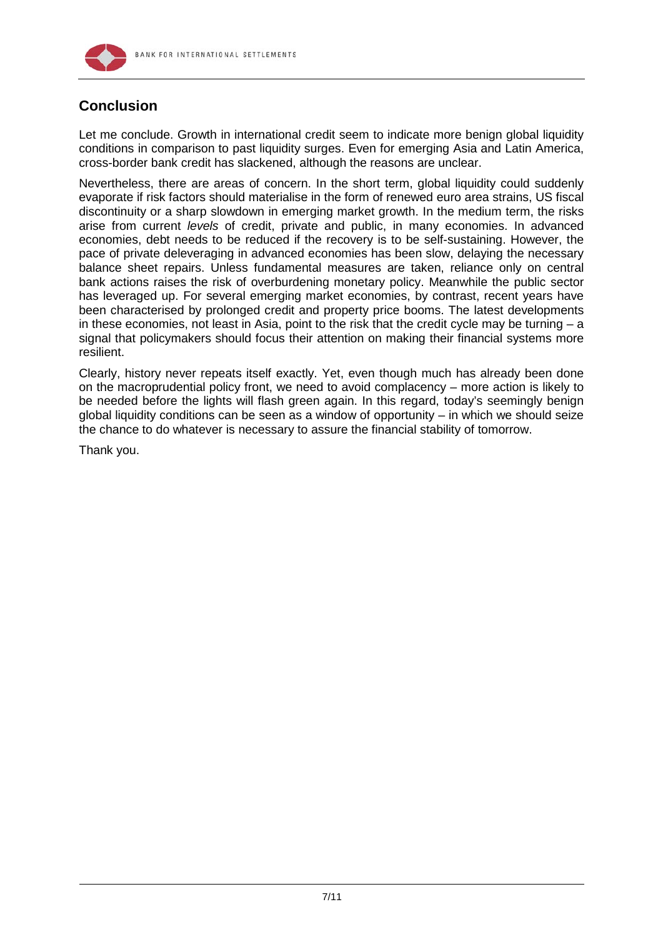

## **Conclusion**

Let me conclude. Growth in international credit seem to indicate more benign global liquidity conditions in comparison to past liquidity surges. Even for emerging Asia and Latin America, cross-border bank credit has slackened, although the reasons are unclear.

Nevertheless, there are areas of concern. In the short term, global liquidity could suddenly evaporate if risk factors should materialise in the form of renewed euro area strains, US fiscal discontinuity or a sharp slowdown in emerging market growth. In the medium term, the risks arise from current *levels* of credit, private and public, in many economies. In advanced economies, debt needs to be reduced if the recovery is to be self-sustaining. However, the pace of private deleveraging in advanced economies has been slow, delaying the necessary balance sheet repairs. Unless fundamental measures are taken, reliance only on central bank actions raises the risk of overburdening monetary policy. Meanwhile the public sector has leveraged up. For several emerging market economies, by contrast, recent years have been characterised by prolonged credit and property price booms. The latest developments in these economies, not least in Asia, point to the risk that the credit cycle may be turning – a signal that policymakers should focus their attention on making their financial systems more resilient.

Clearly, history never repeats itself exactly. Yet, even though much has already been done on the macroprudential policy front, we need to avoid complacency – more action is likely to be needed before the lights will flash green again. In this regard, today's seemingly benign global liquidity conditions can be seen as a window of opportunity  $-$  in which we should seize the chance to do whatever is necessary to assure the financial stability of tomorrow.

Thank you.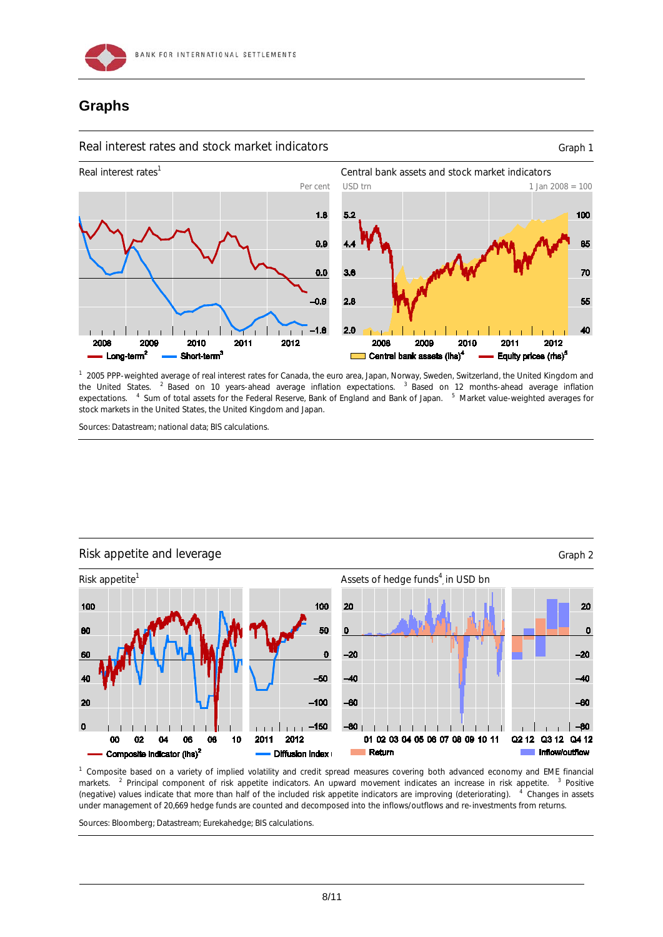

## **Graphs**

#### Real interest rates and stock market indicators example and stock market indicators of the state of Graph 1



<sup>1</sup> 2005 PPP-weighted average of real interest rates for Canada, the euro area, Japan, Norway, Sweden, Switzerland, the United Kingdom and the United States. <sup>2</sup> Based on 10 years-ahead average inflation expectations. <sup>3</sup> Based on 12 months-ahead average inflation expectations. <sup>4</sup> Sum of total assets for the Federal Reserve, Bank of England and Bank of Japan. <sup>5</sup> Market value-weighted averages for stock markets in the United States, the United Kingdom and Japan.

Sources: Datastream; national data; BIS calculations.



#### 1 Composite based on a variety of implied volatility and credit spread measures covering both advanced economy and EME financial markets. <sup>2</sup> Principal component of risk appetite indicators. An upward movement indicates an increase in risk appetite. <sup>3</sup> Positive (negative) values indicate that more than half of the included risk appetite indicators are improving (deteriorating). <sup>4</sup> <sup>4</sup> Changes in assets under management of 20,669 hedge funds are counted and decomposed into the inflows/outflows and re-investments from returns.

Sources: Bloomberg; Datastream; Eurekahedge; BIS calculations.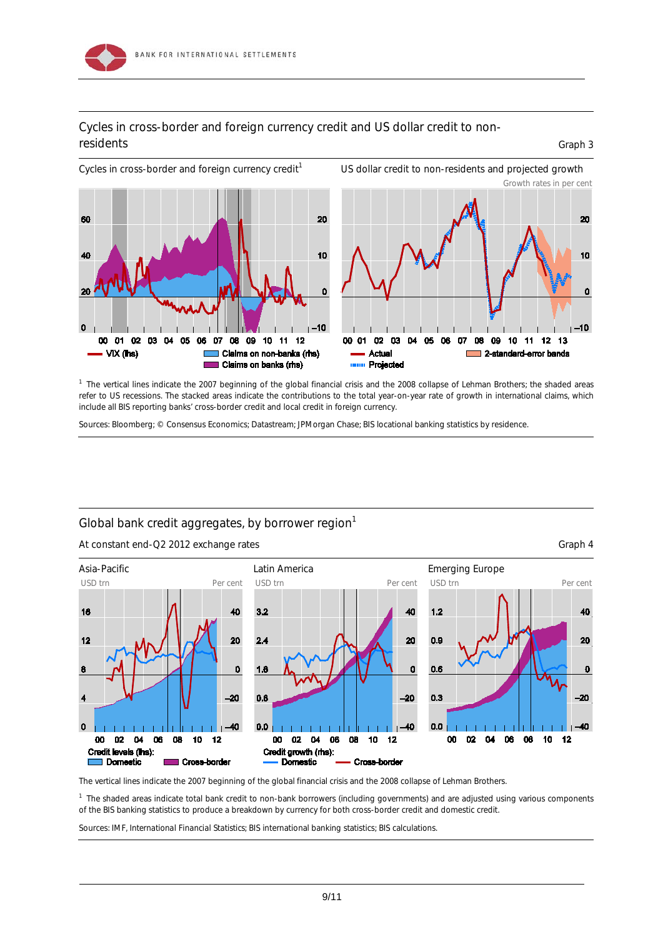

## Cycles in cross-border and foreign currency credit and US dollar credit to nonresidents Graph 3

Cycles in cross-border and foreign currency credit<sup>1</sup> US dollar credit to non-residents and projected growth Growth rates in per cent



<sup>1</sup> The vertical lines indicate the 2007 beginning of the global financial crisis and the 2008 collapse of Lehman Brothers; the shaded areas refer to US recessions. The stacked areas indicate the contributions to the total year-on-year rate of growth in international claims, which include all BIS reporting banks' cross-border credit and local credit in foreign currency.

Sources: Bloomberg; © Consensus Economics; Datastream; JPMorgan Chase; BIS locational banking statistics by residence.

## Global bank credit aggregates, by borrower region $<sup>1</sup>$ </sup>

At constant end-Q2 2012 exchange rates Graph 4





The vertical lines indicate the 2007 beginning of the global financial crisis and the 2008 collapse of Lehman Brothers.

<sup>1</sup> The shaded areas indicate total bank credit to non-bank borrowers (including governments) and are adjusted using various components of the BIS banking statistics to produce a breakdown by currency for both cross-border credit and domestic credit.

Sources: IMF, *International Financial Statistics*; BIS international banking statistics; BIS calculations.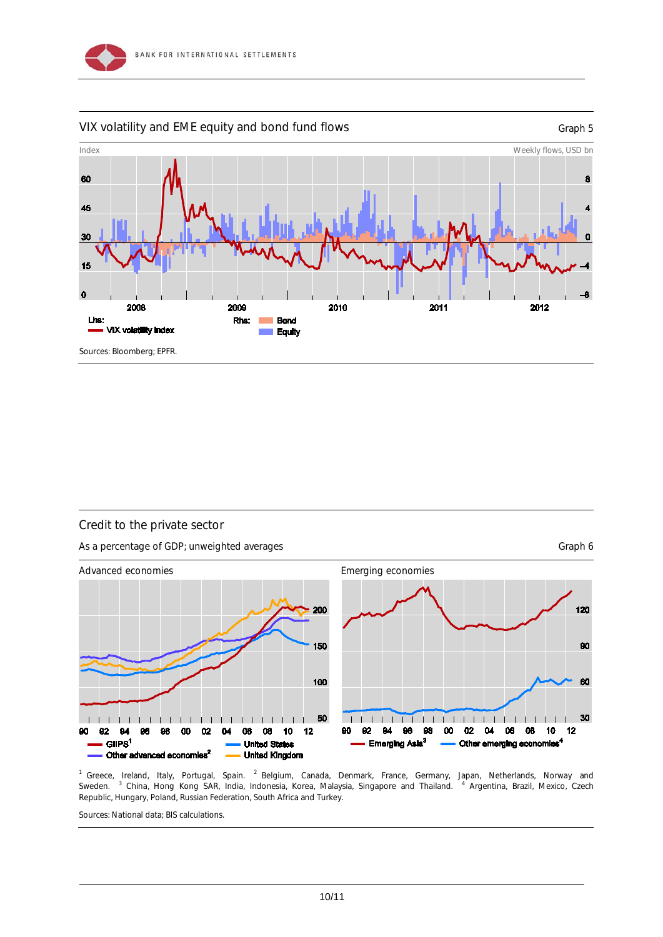

#### VIX volatility and EME equity and bond fund flows The Contract Contract Constants Graph 5





#### Credit to the private sector

As a percentage of GDP; unweighted averages Graph 6 Server and the Craph 6 Server and the Graph 6



<sup>1</sup> Greece, Ireland, Italy, Portugal, Spain. <sup>2</sup> Belgium, Canada, Denmark, France, Germany, Japan, Netherlands, Norway and Sweden. <sup>3</sup> China, Hong Kong SAR, India, Indonesia, Korea, Malaysia, Singapore and Thailand. <sup>4</sup> Argentina, Brazil, Mexico, Czech Republic, Hungary, Poland, Russian Federation, South Africa and Turkey.

Sources: National data; BIS calculations.